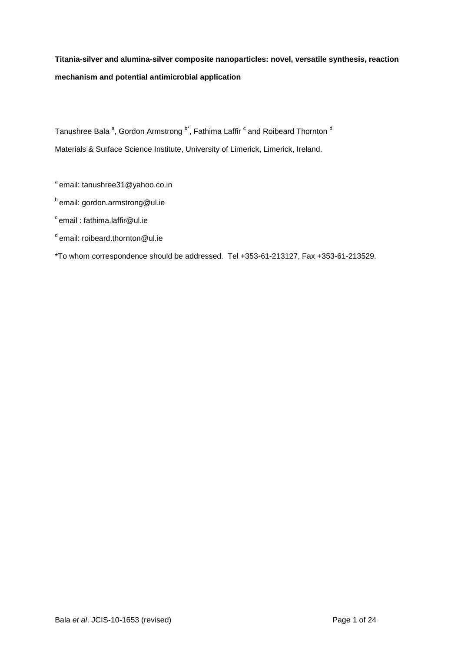# **Titania-silver and alumina-silver composite nanoparticles: novel, versatile synthesis, reaction mechanism and potential antimicrobial application**

Tanushree Bala <sup>a</sup>, Gordon Armstrong <sup>b\*</sup>, Fathima Laffir <sup>c</sup> and Roibeard Thornton <sup>d</sup> Materials & Surface Science Institute, University of Limerick, Limerick, Ireland.

 $a$ email: tanushree31@yahoo.co.in

**b** email: gordon.armstrong@ul.ie

 $\degree$ email : fathima.laffir@ul.ie

d email: roibeard.thornton@ul.ie

\*To whom correspondence should be addressed. Tel +353-61-213127, Fax +353-61-213529.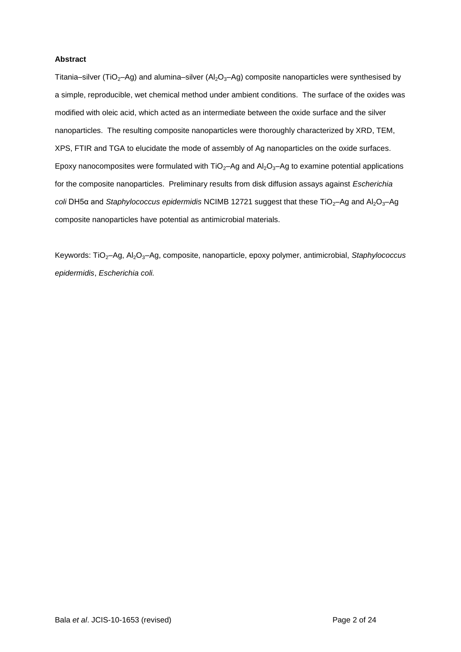## **Abstract**

Titania–silver (TiO<sub>2</sub>–Ag) and alumina–silver (Al<sub>2</sub>O<sub>3</sub>–Ag) composite nanoparticles were synthesised by a simple, reproducible, wet chemical method under ambient conditions. The surface of the oxides was modified with oleic acid, which acted as an intermediate between the oxide surface and the silver nanoparticles. The resulting composite nanoparticles were thoroughly characterized by XRD, TEM, XPS, FTIR and TGA to elucidate the mode of assembly of Ag nanoparticles on the oxide surfaces. Epoxy nanocomposites were formulated with  $TiO<sub>2</sub>$ –Ag and Al<sub>2</sub>O<sub>3</sub>–Ag to examine potential applications for the composite nanoparticles. Preliminary results from disk diffusion assays against *Escherichia coli* DH5α and *Staphylococcus epidermidis* NCIMB 12721 suggest that these TiO<sub>2</sub>-Ag and Al<sub>2</sub>O<sub>3</sub>-Ag composite nanoparticles have potential as antimicrobial materials.

Keywords: TiO<sub>2</sub>–Ag, Al<sub>2</sub>O<sub>3</sub>–Ag, composite, nanoparticle, epoxy polymer, antimicrobial, *Staphylococcus epidermidis*, *Escherichia coli.*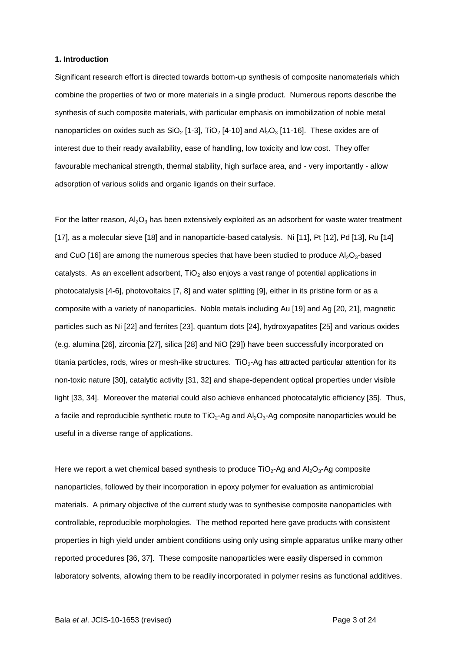#### **1. Introduction**

Significant research effort is directed towards bottom-up synthesis of composite nanomaterials which combine the properties of two or more materials in a single product. Numerous reports describe the synthesis of such composite materials, with particular emphasis on immobilization of noble metal nanoparticles on oxides such as  $SiO<sub>2</sub>$  [1-3], TiO<sub>2</sub> [4-10] and Al<sub>2</sub>O<sub>3</sub> [11-16]. These oxides are of interest due to their ready availability, ease of handling, low toxicity and low cost. They offer favourable mechanical strength, thermal stability, high surface area, and - very importantly - allow adsorption of various solids and organic ligands on their surface.

For the latter reason,  $A<sub>2</sub>O<sub>3</sub>$  has been extensively exploited as an adsorbent for waste water treatment [17], as a molecular sieve [18] and in nanoparticle-based catalysis. Ni [11], Pt [12], Pd [13], Ru [14] and CuO [16] are among the numerous species that have been studied to produce  $Al_2O_3$ -based catalysts. As an excellent adsorbent,  $TiO<sub>2</sub>$  also enjoys a vast range of potential applications in photocatalysis [4-6], photovoltaics [7, 8] and water splitting [9], either in its pristine form or as a composite with a variety of nanoparticles. Noble metals including Au [19] and Ag [20, 21], magnetic particles such as Ni [22] and ferrites [23], quantum dots [24], hydroxyapatites [25] and various oxides (e.g. alumina [26], zirconia [27], silica [28] and NiO [29]) have been successfully incorporated on titania particles, rods, wires or mesh-like structures. TiO $_2$ -Ag has attracted particular attention for its non-toxic nature [30], catalytic activity [31, 32] and shape-dependent optical properties under visible light [33, 34]. Moreover the material could also achieve enhanced photocatalytic efficiency [35]. Thus, a facile and reproducible synthetic route to  $TiO<sub>2</sub>$ -Ag and  $Al<sub>2</sub>O<sub>3</sub>$ -Ag composite nanoparticles would be useful in a diverse range of applications.

Here we report a wet chemical based synthesis to produce  $TiO<sub>2</sub>$ -Ag and Al<sub>2</sub>O<sub>3</sub>-Ag composite nanoparticles, followed by their incorporation in epoxy polymer for evaluation as antimicrobial materials. A primary objective of the current study was to synthesise composite nanoparticles with controllable, reproducible morphologies. The method reported here gave products with consistent properties in high yield under ambient conditions using only using simple apparatus unlike many other reported procedures [36, 37]. These composite nanoparticles were easily dispersed in common laboratory solvents, allowing them to be readily incorporated in polymer resins as functional additives.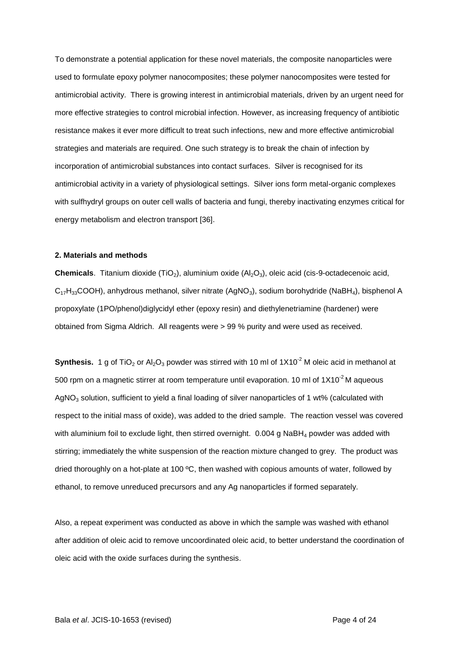To demonstrate a potential application for these novel materials, the composite nanoparticles were used to formulate epoxy polymer nanocomposites; these polymer nanocomposites were tested for antimicrobial activity. There is growing interest in antimicrobial materials, driven by an urgent need for more effective strategies to control microbial infection. However, as increasing frequency of antibiotic resistance makes it ever more difficult to treat such infections, new and more effective antimicrobial strategies and materials are required. One such strategy is to break the chain of infection by incorporation of antimicrobial substances into contact surfaces. Silver is recognised for its antimicrobial activity in a variety of physiological settings. Silver ions form metal-organic complexes with sulfhydryl groups on outer cell walls of bacteria and fungi, thereby inactivating enzymes critical for energy metabolism and electron transport [36].

#### **2. Materials and methods**

**Chemicals**. Titanium dioxide (TiO<sub>2</sub>), aluminium oxide (Al<sub>2</sub>O<sub>3</sub>), oleic acid (cis-9-octadecenoic acid,  $C_{17}H_{33}$ COOH), anhydrous methanol, silver nitrate (AgNO<sub>3</sub>), sodium borohydride (NaBH<sub>4</sub>), bisphenol A propoxylate (1PO/phenol)diglycidyl ether (epoxy resin) and diethylenetriamine (hardener) were obtained from Sigma Aldrich. All reagents were > 99 % purity and were used as received.

**Synthesis.** 1 g of TiO<sub>2</sub> or Al<sub>2</sub>O<sub>3</sub> powder was stirred with 10 ml of  $1X10<sup>-2</sup>$  M oleic acid in methanol at 500 rpm on a magnetic stirrer at room temperature until evaporation. 10 ml of  $1X10<sup>-2</sup>$  M aqueous AgNO<sub>3</sub> solution, sufficient to yield a final loading of silver nanoparticles of 1 wt% (calculated with respect to the initial mass of oxide), was added to the dried sample. The reaction vessel was covered with aluminium foil to exclude light, then stirred overnight. 0.004 g NaBH<sub>4</sub> powder was added with stirring; immediately the white suspension of the reaction mixture changed to grey. The product was dried thoroughly on a hot-plate at 100  $\degree$ C, then washed with copious amounts of water, followed by ethanol, to remove unreduced precursors and any Ag nanoparticles if formed separately.

Also, a repeat experiment was conducted as above in which the sample was washed with ethanol after addition of oleic acid to remove uncoordinated oleic acid, to better understand the coordination of oleic acid with the oxide surfaces during the synthesis.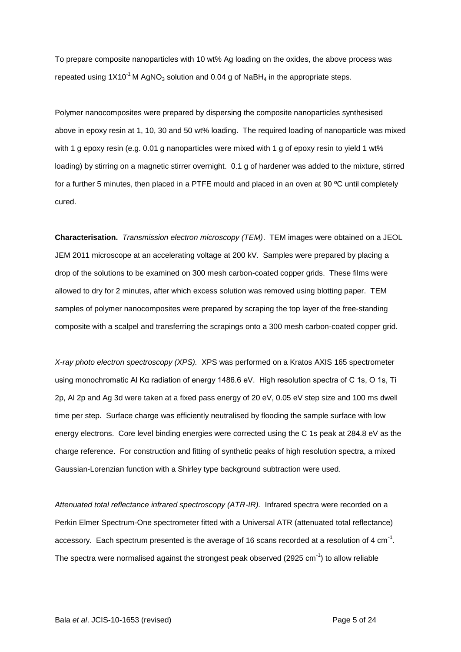To prepare composite nanoparticles with 10 wt% Ag loading on the oxides, the above process was repeated using  $1X10^{-1}$  M AgNO<sub>3</sub> solution and 0.04 g of NaBH<sub>4</sub> in the appropriate steps.

Polymer nanocomposites were prepared by dispersing the composite nanoparticles synthesised above in epoxy resin at 1, 10, 30 and 50 wt% loading. The required loading of nanoparticle was mixed with 1 g epoxy resin (e.g. 0.01 g nanoparticles were mixed with 1 g of epoxy resin to yield 1 wt% loading) by stirring on a magnetic stirrer overnight. 0.1 g of hardener was added to the mixture, stirred for a further 5 minutes, then placed in a PTFE mould and placed in an oven at 90 ºC until completely cured.

**Characterisation.** *Transmission electron microscopy (TEM)*. TEM images were obtained on a JEOL JEM 2011 microscope at an accelerating voltage at 200 kV. Samples were prepared by placing a drop of the solutions to be examined on 300 mesh carbon-coated copper grids. These films were allowed to dry for 2 minutes, after which excess solution was removed using blotting paper. TEM samples of polymer nanocomposites were prepared by scraping the top layer of the free-standing composite with a scalpel and transferring the scrapings onto a 300 mesh carbon-coated copper grid.

*X-ray photo electron spectroscopy (XPS).* XPS was performed on a Kratos AXIS 165 spectrometer using monochromatic Al Kα radiation of energy 1486.6 eV. High resolution spectra of C 1s, O 1s, Ti 2p, Al 2p and Ag 3d were taken at a fixed pass energy of 20 eV, 0.05 eV step size and 100 ms dwell time per step. Surface charge was efficiently neutralised by flooding the sample surface with low energy electrons. Core level binding energies were corrected using the C 1s peak at 284.8 eV as the charge reference. For construction and fitting of synthetic peaks of high resolution spectra, a mixed Gaussian-Lorenzian function with a Shirley type background subtraction were used.

Attenuated total reflectance infrared spectroscopy (ATR-IR). Infrared spectra were recorded on a Perkin Elmer Spectrum-One spectrometer fitted with a Universal ATR (attenuated total reflectance) accessory. Each spectrum presented is the average of 16 scans recorded at a resolution of 4 cm<sup>-1</sup>. The spectra were normalised against the strongest peak observed (2925 cm<sup>-1</sup>) to allow reliable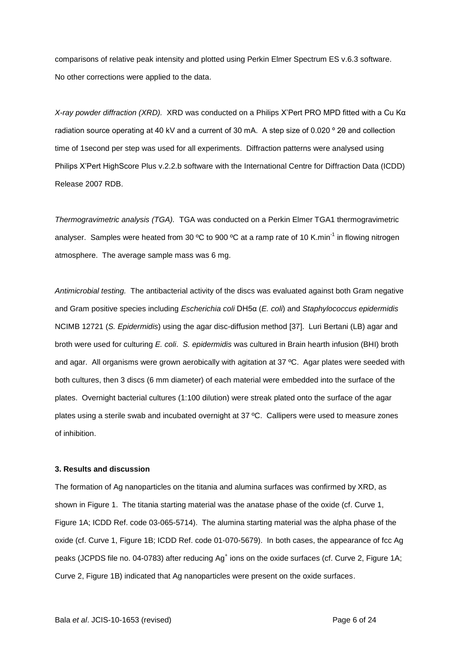comparisons of relative peak intensity and plotted using Perkin Elmer Spectrum ES v.6.3 software. No other corrections were applied to the data.

*X-ray powder diffraction (XRD).* XRD was conducted on a Philips X'Pert PRO MPD fitted with a Cu Kα radiation source operating at 40 kV and a current of 30 mA. A step size of 0.020 º 2θ and collection time of 1second per step was used for all experiments. Diffraction patterns were analysed using Philips X'Pert HighScore Plus v.2.2.b software with the International Centre for Diffraction Data (ICDD) Release 2007 RDB.

*Thermogravimetric analysis (TGA).* TGA was conducted on a Perkin Elmer TGA1 thermogravimetric analyser. Samples were heated from 30 °C to 900 °C at a ramp rate of 10 K.min<sup>-1</sup> in flowing nitrogen atmosphere. The average sample mass was 6 mg.

*Antimicrobial testing.* The antibacterial activity of the discs was evaluated against both Gram negative and Gram positive species including *Escherichia coli* DH5α (*E. coli*) and *Staphylococcus epidermidis* NCIMB 12721 (*S. Epidermidis*) using the agar disc-diffusion method [37]. Luri Bertani (LB) agar and broth were used for culturing *E. coli*. *S. epidermidis* was cultured in Brain hearth infusion (BHI) broth and agar. All organisms were grown aerobically with agitation at 37 °C. Agar plates were seeded with both cultures, then 3 discs (6 mm diameter) of each material were embedded into the surface of the plates. Overnight bacterial cultures (1:100 dilution) were streak plated onto the surface of the agar plates using a sterile swab and incubated overnight at 37 ºC. Callipers were used to measure zones of inhibition.

### **3. Results and discussion**

The formation of Ag nanoparticles on the titania and alumina surfaces was confirmed by XRD, as shown in Figure 1. The titania starting material was the anatase phase of the oxide (cf. Curve 1, Figure 1A; ICDD Ref. code 03-065-5714). The alumina starting material was the alpha phase of the oxide (cf. Curve 1, Figure 1B; ICDD Ref. code 01-070-5679). In both cases, the appearance of fcc Ag peaks (JCPDS file no. 04-0783) after reducing Ag<sup>+</sup> ions on the oxide surfaces (cf. Curve 2, Figure 1A; Curve 2, Figure 1B) indicated that Ag nanoparticles were present on the oxide surfaces.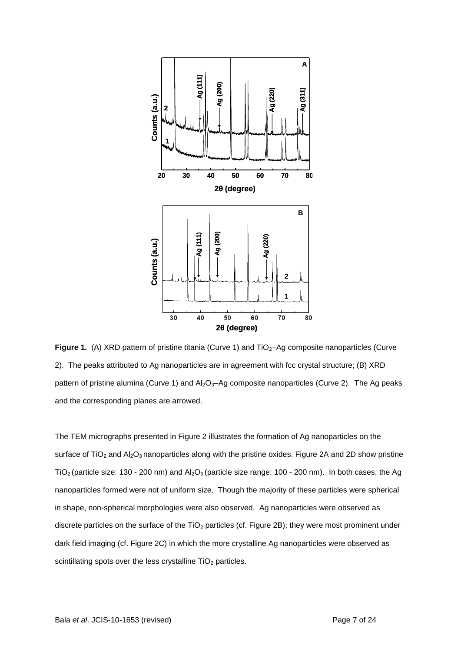

**Figure 1.** (A) XRD pattern of pristine titania (Curve 1) and TiO<sub>2</sub>–Ag composite nanoparticles (Curve 2). The peaks attributed to Ag nanoparticles are in agreement with fcc crystal structure; (B) XRD pattern of pristine alumina (Curve 1) and  $Al_2O_3$ -Ag composite nanoparticles (Curve 2). The Ag peaks and the corresponding planes are arrowed.

The TEM micrographs presented in Figure 2 illustrates the formation of Ag nanoparticles on the surface of  $TiO<sub>2</sub>$  and  $Al<sub>2</sub>O<sub>3</sub>$  nanoparticles along with the pristine oxides. Figure 2A and 2D show pristine TiO<sub>2</sub> (particle size: 130 - 200 nm) and  $Al_2O_3$  (particle size range: 100 - 200 nm). In both cases, the Ag nanoparticles formed were not of uniform size. Though the majority of these particles were spherical in shape, non-spherical morphologies were also observed.Ag nanoparticles were observed as discrete particles on the surface of the  $TiO<sub>2</sub>$  particles (cf. Figure 2B); they were most prominent under dark field imaging (cf. Figure 2C) in which the more crystalline Ag nanoparticles were observed as scintillating spots over the less crystalline  $TiO<sub>2</sub>$  particles.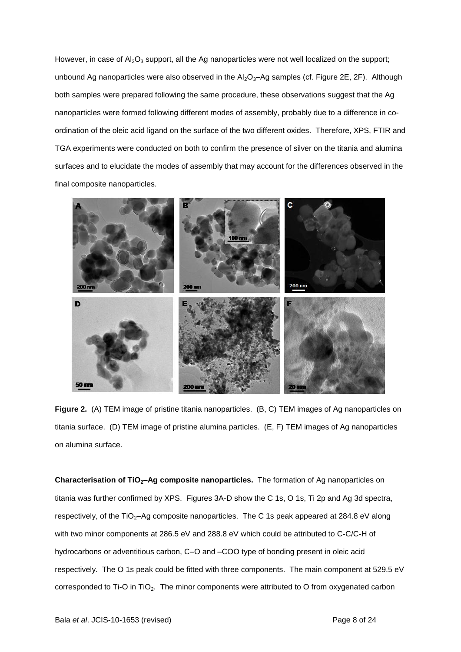However, in case of  $Al_2O_3$  support, all the Ag nanoparticles were not well localized on the support; unbound Ag nanoparticles were also observed in the  $Al_2O_3-Ag$  samples (cf. Figure 2E, 2F). Although both samples were prepared following the same procedure, these observations suggest that the Ag nanoparticles were formed following different modes of assembly, probably due to a difference in coordination of the oleic acid ligand on the surface of the two different oxides. Therefore, XPS, FTIR and TGA experiments were conducted on both to confirm the presence of silver on the titania and alumina surfaces and to elucidate the modes of assembly that may account for the differences observed in the final composite nanoparticles.



**Figure 2.** (A) TEM image of pristine titania nanoparticles. (B, C) TEM images of Ag nanoparticles on titania surface. (D) TEM image of pristine alumina particles. (E, F) TEM images of Ag nanoparticles on alumina surface.

**Characterisation of TiO2–Ag composite nanoparticles.** The formation of Ag nanoparticles on titania was further confirmed by XPS. Figures 3A-D show the C 1s, O 1s, Ti 2p and Ag 3d spectra, respectively, of the TiO<sub>2</sub>-Ag composite nanoparticles. The C 1s peak appeared at 284.8 eV along with two minor components at 286.5 eV and 288.8 eV which could be attributed to C-C/C-H of hydrocarbons or adventitious carbon, C–O and –COO type of bonding present in oleic acid respectively. The O 1s peak could be fitted with three components. The main component at 529.5 eV corresponded to Ti-O in TiO<sub>2</sub>. The minor components were attributed to O from oxygenated carbon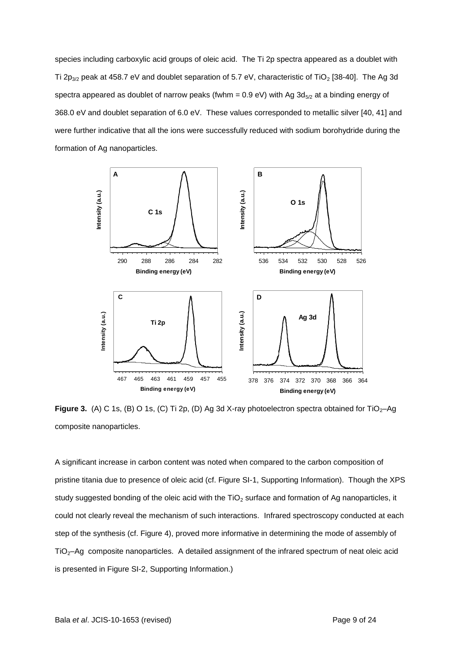species including carboxylic acid groups of oleic acid. The Ti 2p spectra appeared as a doublet with Ti 2p<sub>3/2</sub> peak at 458.7 eV and doublet separation of 5.7 eV, characteristic of TiO<sub>2</sub> [38-40]. The Ag 3d spectra appeared as doublet of narrow peaks (fwhm =  $0.9$  eV) with Ag  $3d_{5/2}$  at a binding energy of 368.0 eV and doublet separation of 6.0 eV. These values corresponded to metallic silver [40, 41] and were further indicative that all the ions were successfully reduced with sodium borohydride during the formation of Ag nanoparticles.



**Figure 3.** (A) C 1s, (B) O 1s, (C) Ti 2p, (D) Ag 3d X-ray photoelectron spectra obtained for TiO<sub>2</sub>-Ag composite nanoparticles.

A significant increase in carbon content was noted when compared to the carbon composition of pristine titania due to presence of oleic acid (cf. Figure SI-1, Supporting Information). Though the XPS study suggested bonding of the oleic acid with the  $TiO<sub>2</sub>$  surface and formation of Ag nanoparticles, it could not clearly reveal the mechanism of such interactions. Infrared spectroscopy conducted at each step of the synthesis (cf. Figure 4), proved more informative in determining the mode of assembly of TiO2–Ag composite nanoparticles. A detailed assignment of the infrared spectrum of neat oleic acid is presented in Figure SI-2, Supporting Information.)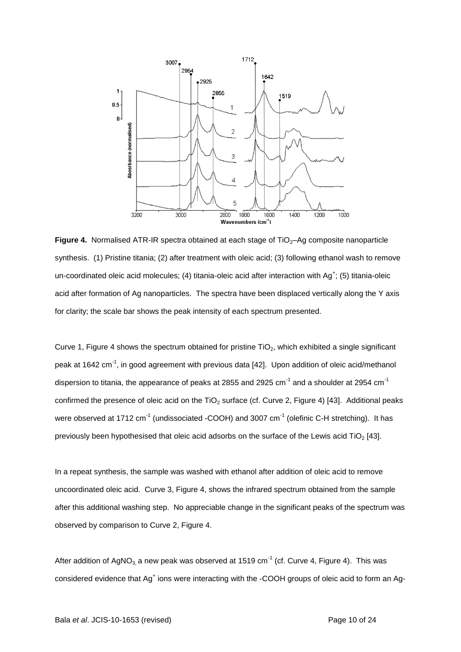

Figure 4. Normalised ATR-IR spectra obtained at each stage of TiO<sub>2</sub>-Ag composite nanoparticle synthesis. (1) Pristine titania; (2) after treatment with oleic acid; (3) following ethanol wash to remove un-coordinated oleic acid molecules; (4) titania-oleic acid after interaction with  $Ag^+$ ; (5) titania-oleic acid after formation of Ag nanoparticles. The spectra have been displaced vertically along the Y axis for clarity; the scale bar shows the peak intensity of each spectrum presented.

Curve 1, Figure 4 shows the spectrum obtained for pristine  $TiO<sub>2</sub>$ , which exhibited a single significant peak at 1642 cm<sup>-1</sup>, in good agreement with previous data [42]. Upon addition of oleic acid/methanol dispersion to titania, the appearance of peaks at 2855 and 2925 cm $^{\text{-1}}$  and a shoulder at 2954 cm $^{\text{-1}}$ confirmed the presence of oleic acid on the TiO<sub>2</sub> surface (cf. Curve 2, Figure 4) [43]. Additional peaks were observed at 1712  $cm^{-1}$  (undissociated -COOH) and 3007  $cm^{-1}$  (olefinic C-H stretching). It has previously been hypothesised that oleic acid adsorbs on the surface of the Lewis acid TiO<sub>2</sub> [43].

In a repeat synthesis, the sample was washed with ethanol after addition of oleic acid to remove uncoordinated oleic acid. Curve 3, Figure 4, shows the infrared spectrum obtained from the sample after this additional washing step. No appreciable change in the significant peaks of the spectrum was observed by comparison to Curve 2, Figure 4.

After addition of AgNO<sub>3,</sub> a new peak was observed at 1519 cm<sup>-1</sup> (cf. Curve 4, Figure 4). This was considered evidence that Ag<sup>+</sup> ions were interacting with the -COOH groups of oleic acid to form an Ag-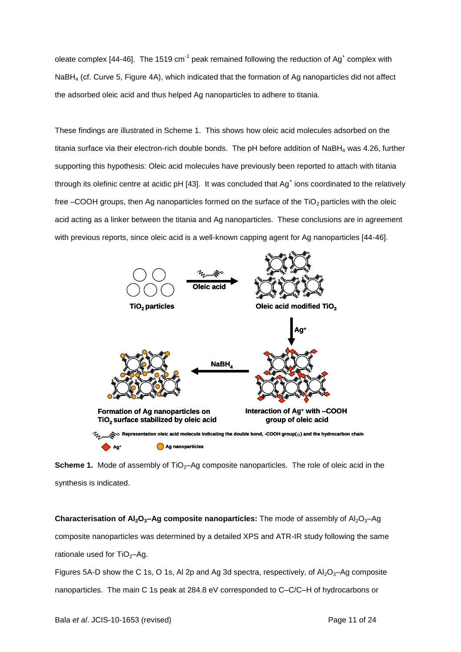oleate complex [44-46]. The 1519 cm<sup>-1</sup> peak remained following the reduction of Ag<sup>+</sup> complex with NaBH<sup>4</sup> (cf. Curve 5, Figure 4A), which indicated that the formation of Ag nanoparticles did not affect the adsorbed oleic acid and thus helped Ag nanoparticles to adhere to titania.

These findings are illustrated in Scheme 1. This shows how oleic acid molecules adsorbed on the titania surface via their electron-rich double bonds. The pH before addition of NaBH<sub>4</sub> was 4.26, further supporting this hypothesis: Oleic acid molecules have previously been reported to attach with titania through its olefinic centre at acidic pH [43]. It was concluded that  $Ag<sup>+</sup>$  ions coordinated to the relatively free  $-$ COOH groups, then Ag nanoparticles formed on the surface of the TiO<sub>2</sub> particles with the oleic acid acting as a linker between the titania and Ag nanoparticles. These conclusions are in agreement with previous reports, since oleic acid is a well-known capping agent for Ag nanoparticles [44-46].



**Scheme 1.** Mode of assembly of TiO<sub>2</sub>-Ag composite nanoparticles. The role of oleic acid in the synthesis is indicated.

**Characterisation of Al<sub>2</sub>O<sub>3</sub>-Ag composite nanoparticles:** The mode of assembly of Al<sub>2</sub>O<sub>3</sub>-Ag composite nanoparticles was determined by a detailed XPS and ATR-IR study following the same rationale used for  $TiO<sub>2</sub>–Ag.$ Figures 5A-D show the C 1s, O 1s, Al 2p and Ag 3d spectra, respectively, of  $Al_2O_3-Ag$  composite nanoparticles. The main C 1s peak at 284.8 eV corresponded to C–C/C–H of hydrocarbons or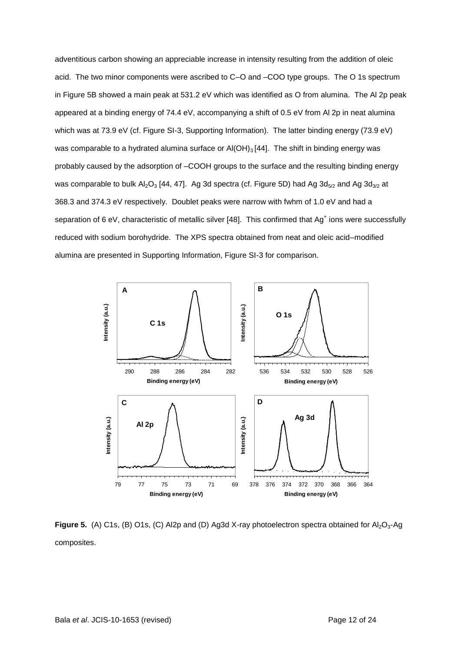adventitious carbon showing an appreciable increase in intensity resulting from the addition of oleic acid. The two minor components were ascribed to C–O and –COO type groups. The O 1s spectrum in Figure 5B showed a main peak at 531.2 eV which was identified as O from alumina. The Al 2p peak appeared at a binding energy of 74.4 eV, accompanying a shift of 0.5 eV from Al 2p in neat alumina which was at 73.9 eV (cf. Figure SI-3, Supporting Information). The latter binding energy (73.9 eV) was comparable to a hydrated alumina surface or  $AI(OH)_{3}$  [44]. The shift in binding energy was probably caused by the adsorption of –COOH groups to the surface and the resulting binding energy was comparable to bulk  $Al_2O_3$  [44, 47]. Ag 3d spectra (cf. Figure 5D) had Ag 3d<sub>5/2</sub> and Ag 3d<sub>3/2</sub> at 368.3 and 374.3 eV respectively. Doublet peaks were narrow with fwhm of 1.0 eV and had a separation of 6 eV, characteristic of metallic silver [48]. This confirmed that  $Ag<sup>+</sup>$  ions were successfully reduced with sodium borohydride. The XPS spectra obtained from neat and oleic acid–modified alumina are presented in Supporting Information, Figure SI-3 for comparison.



Figure 5. (A) C1s, (B) O1s, (C) Al2p and (D) Ag3d X-ray photoelectron spectra obtained for Al<sub>2</sub>O<sub>3</sub>-Ag composites.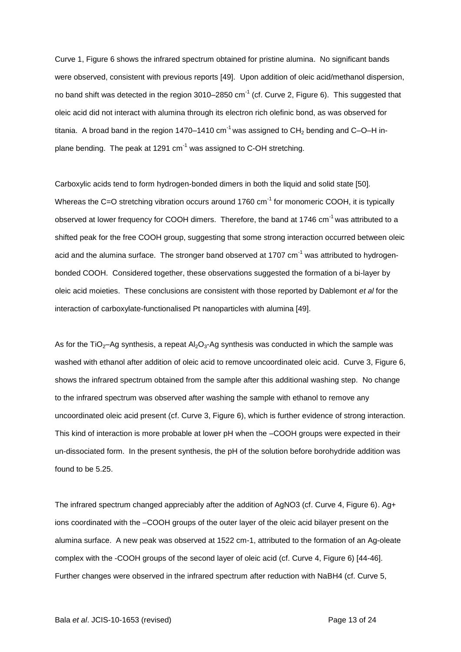Curve 1, Figure 6 shows the infrared spectrum obtained for pristine alumina. No significant bands were observed, consistent with previous reports [49]. Upon addition of oleic acid/methanol dispersion, no band shift was detected in the region 3010–2850 cm<sup>-1</sup> (cf. Curve 2, Figure 6). This suggested that oleic acid did not interact with alumina through its electron rich olefinic bond, as was observed for titania. A broad band in the region 1470–1410 cm<sup>-1</sup> was assigned to CH<sub>2</sub> bending and C–O–H inplane bending. The peak at 1291  $cm^{-1}$  was assigned to C-OH stretching.

Carboxylic acids tend to form hydrogen-bonded dimers in both the liquid and solid state [50]. Whereas the C=O stretching vibration occurs around 1760 cm<sup>-1</sup> for monomeric COOH, it is typically observed at lower frequency for COOH dimers. Therefore, the band at 1746 cm<sup>-1</sup> was attributed to a shifted peak for the free COOH group, suggesting that some strong interaction occurred between oleic acid and the alumina surface. The stronger band observed at 1707  $cm^{-1}$  was attributed to hydrogenbonded COOH. Considered together, these observations suggested the formation of a bi-layer by oleic acid moieties. These conclusions are consistent with those reported by Dablemont *et al* for the interaction of carboxylate-functionalised Pt nanoparticles with alumina [49].

As for the TiO<sub>2</sub>-Ag synthesis, a repeat Al<sub>2</sub>O<sub>3</sub>-Ag synthesis was conducted in which the sample was washed with ethanol after addition of oleic acid to remove uncoordinated oleic acid. Curve 3, Figure 6, shows the infrared spectrum obtained from the sample after this additional washing step. No change to the infrared spectrum was observed after washing the sample with ethanol to remove any uncoordinated oleic acid present (cf. Curve 3, Figure 6), which is further evidence of strong interaction. This kind of interaction is more probable at lower pH when the –COOH groups were expected in their un-dissociated form. In the present synthesis, the pH of the solution before borohydride addition was found to be 5.25.

The infrared spectrum changed appreciably after the addition of AgNO3 (cf. Curve 4, Figure 6). Ag+ ions coordinated with the –COOH groups of the outer layer of the oleic acid bilayer present on the alumina surface. A new peak was observed at 1522 cm-1, attributed to the formation of an Ag-oleate complex with the -COOH groups of the second layer of oleic acid (cf. Curve 4, Figure 6) [44-46]. Further changes were observed in the infrared spectrum after reduction with NaBH4 (cf. Curve 5,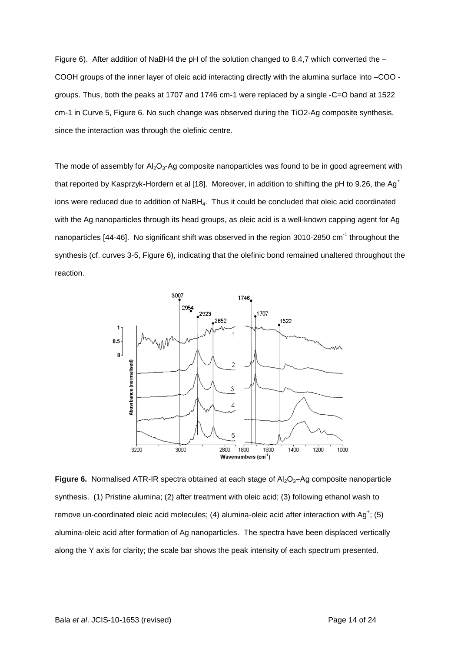Figure 6). After addition of NaBH4 the pH of the solution changed to 8.4,7 which converted the – COOH groups of the inner layer of oleic acid interacting directly with the alumina surface into –COO groups. Thus, both the peaks at 1707 and 1746 cm-1 were replaced by a single -C=O band at 1522 cm-1 in Curve 5, Figure 6. No such change was observed during the TiO2-Ag composite synthesis, since the interaction was through the olefinic centre.

The mode of assembly for  $A<sub>1</sub>, O<sub>3</sub>$ -Ag composite nanoparticles was found to be in good agreement with that reported by Kasprzyk-Hordern et al [18]. Moreover, in addition to shifting the pH to 9.26, the Ag<sup>+</sup> ions were reduced due to addition of NaBH<sub>4</sub>. Thus it could be concluded that oleic acid coordinated with the Ag nanoparticles through its head groups, as oleic acid is a well-known capping agent for Ag nanoparticles [44-46]. No significant shift was observed in the region 3010-2850 cm<sup>-1</sup> throughout the synthesis (cf. curves 3-5, Figure 6), indicating that the olefinic bond remained unaltered throughout the reaction.



**Figure 6.** Normalised ATR-IR spectra obtained at each stage of Al<sub>2</sub>O<sub>3</sub>-Ag composite nanoparticle synthesis. (1) Pristine alumina; (2) after treatment with oleic acid; (3) following ethanol wash to remove un-coordinated oleic acid molecules; (4) alumina-oleic acid after interaction with Ag<sup>+</sup>; (5) alumina-oleic acid after formation of Ag nanoparticles. The spectra have been displaced vertically along the Y axis for clarity; the scale bar shows the peak intensity of each spectrum presented.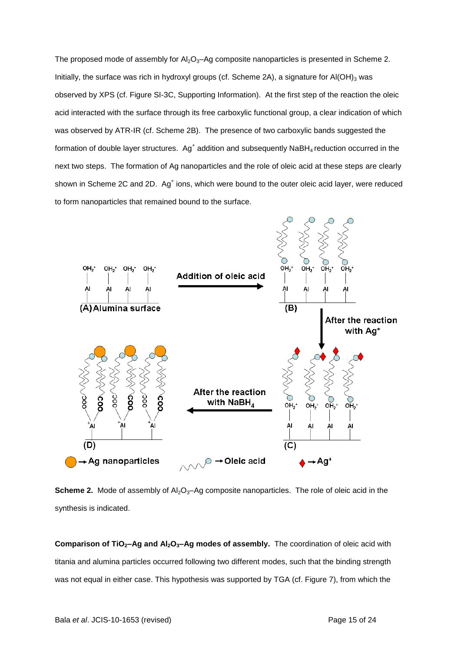The proposed mode of assembly for  $Al_2O_3$ -Ag composite nanoparticles is presented in Scheme 2. Initially, the surface was rich in hydroxyl groups (cf. Scheme 2A), a signature for  $AI(OH)_3$  was observed by XPS (cf. Figure SI-3C, Supporting Information). At the first step of the reaction the oleic acid interacted with the surface through its free carboxylic functional group, a clear indication of which was observed by ATR-IR (cf. Scheme 2B). The presence of two carboxylic bands suggested the formation of double layer structures. Ag<sup>+</sup> addition and subsequently NaBH<sub>4</sub> reduction occurred in the next two steps. The formation of Ag nanoparticles and the role of oleic acid at these steps are clearly shown in Scheme 2C and 2D. Ag<sup>+</sup> ions, which were bound to the outer oleic acid layer, were reduced to form nanoparticles that remained bound to the surface.



**Scheme 2.** Mode of assembly of Al<sub>2</sub>O<sub>3</sub>-Ag composite nanoparticles. The role of oleic acid in the synthesis is indicated.

**Comparison of TiO2–Ag and Al2O3–Ag modes of assembly.** The coordination of oleic acid with titania and alumina particles occurred following two different modes, such that the binding strength was not equal in either case. This hypothesis was supported by TGA (cf. Figure 7), from which the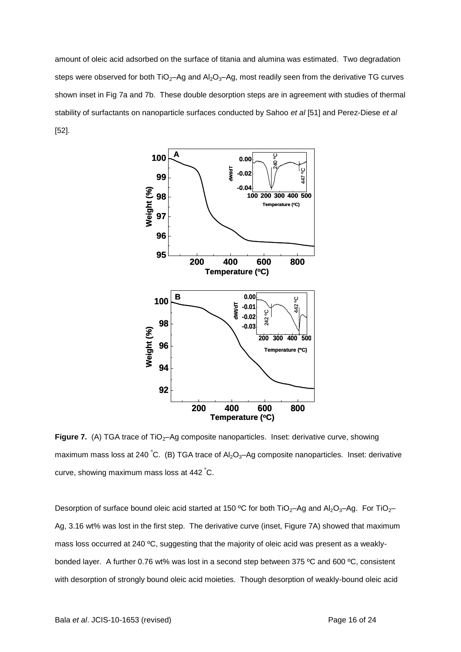amount of oleic acid adsorbed on the surface of titania and alumina was estimated. Two degradation steps were observed for both  $TiO_2$ –Ag and  $Al_2O_3$ –Ag, most readily seen from the derivative TG curves shown inset in Fig 7a and 7b. These double desorption steps are in agreement with studies of thermal stability of surfactants on nanoparticle surfaces conducted by Sahoo *et al* [51] and Perez-Diese *et al* [52].



**Figure 7.** (A) TGA trace of TiO<sub>2</sub>–Ag composite nanoparticles. Inset: derivative curve, showing maximum mass loss at 240 °C. (B) TGA trace of  $Al_2O_3$ -Ag composite nanoparticles. Inset: derivative curve, showing maximum mass loss at 442 <sup>º</sup>C.

Desorption of surface bound oleic acid started at 150 °C for both TiO<sub>2</sub>–Ag and Al<sub>2</sub>O<sub>3</sub>–Ag. For TiO<sub>2</sub>– Ag, 3.16 wt% was lost in the first step. The derivative curve (inset, Figure 7A) showed that maximum mass loss occurred at 240 ºC, suggesting that the majority of oleic acid was present as a weaklybonded layer. A further 0.76 wt% was lost in a second step between 375 ºC and 600 ºC, consistent with desorption of strongly bound oleic acid moieties. Though desorption of weakly-bound oleic acid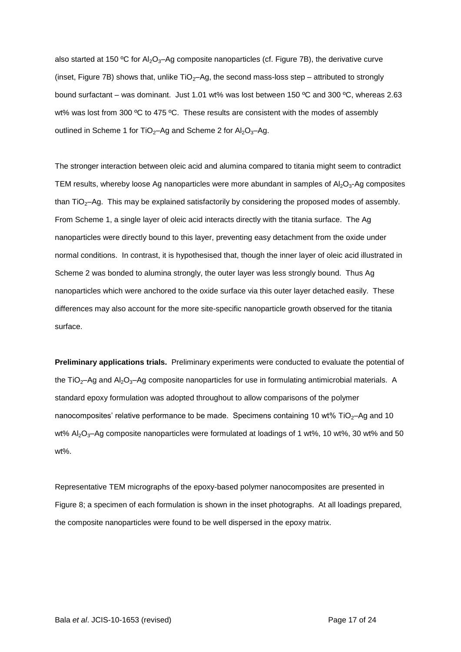also started at 150 °C for Al<sub>2</sub>O<sub>3</sub>-Ag composite nanoparticles (cf. Figure 7B), the derivative curve (inset, Figure 7B) shows that, unlike  $TiO<sub>2</sub>$ –Ag, the second mass-loss step – attributed to strongly bound surfactant – was dominant. Just 1.01 wt% was lost between 150 ºC and 300 ºC, whereas 2.63 wt% was lost from 300 °C to 475 °C. These results are consistent with the modes of assembly outlined in Scheme 1 for TiO<sub>2</sub>-Ag and Scheme 2 for  $Al_2O_3$ -Ag.

The stronger interaction between oleic acid and alumina compared to titania might seem to contradict TEM results, whereby loose Ag nanoparticles were more abundant in samples of  $A<sub>2</sub>O<sub>3</sub>$ -Ag composites than TiO2–Ag. This may be explained satisfactorily by considering the proposed modes of assembly. From Scheme 1, a single layer of oleic acid interacts directly with the titania surface. The Ag nanoparticles were directly bound to this layer, preventing easy detachment from the oxide under normal conditions. In contrast, it is hypothesised that, though the inner layer of oleic acid illustrated in Scheme 2 was bonded to alumina strongly, the outer layer was less strongly bound. Thus Ag nanoparticles which were anchored to the oxide surface via this outer layer detached easily. These differences may also account for the more site-specific nanoparticle growth observed for the titania surface.

**Preliminary applications trials.** Preliminary experiments were conducted to evaluate the potential of the TiO<sub>2</sub>–Ag and Al<sub>2</sub>O<sub>3</sub>–Ag composite nanoparticles for use in formulating antimicrobial materials. A standard epoxy formulation was adopted throughout to allow comparisons of the polymer nanocomposites' relative performance to be made. Specimens containing 10  $wt\%$  TiO<sub>2</sub>–Ag and 10 wt% Al<sub>2</sub>O<sub>3</sub>-Ag composite nanoparticles were formulated at loadings of 1 wt%, 10 wt%, 30 wt% and 50 wt%.

Representative TEM micrographs of the epoxy-based polymer nanocomposites are presented in Figure 8; a specimen of each formulation is shown in the inset photographs. At all loadings prepared, the composite nanoparticles were found to be well dispersed in the epoxy matrix.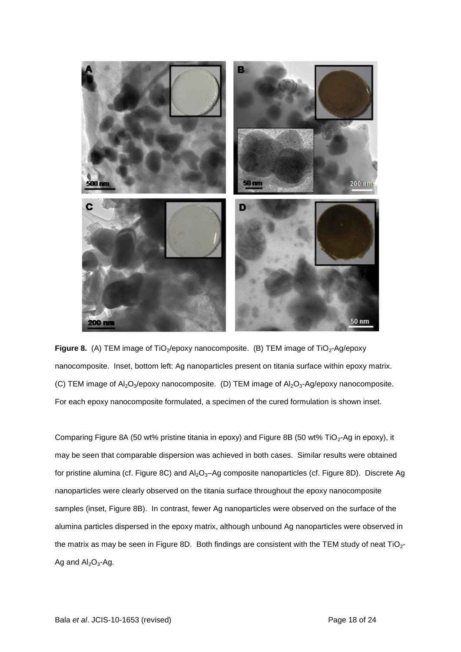

**Figure 8.** (A) TEM image of TiO<sub>2</sub>/epoxy nanocomposite. (B) TEM image of TiO<sub>2</sub>-Ag/epoxy nanocomposite. Inset, bottom left: Ag nanoparticles present on titania surface within epoxy matrix. (C) TEM image of  $Al_2O_3$ /epoxy nanocomposite. (D) TEM image of  $Al_2O_3$ -Ag/epoxy nanocomposite. For each epoxy nanocomposite formulated, a specimen of the cured formulation is shown inset.

Comparing Figure 8A (50 wt% pristine titania in epoxy) and Figure 8B (50 wt% TiO<sub>2</sub>-Ag in epoxy), it may be seen that comparable dispersion was achieved in both cases. Similar results were obtained for pristine alumina (cf. Figure 8C) and  $Al_2O_3$ -Ag composite nanoparticles (cf. Figure 8D). Discrete Ag nanoparticles were clearly observed on the titania surface throughout the epoxy nanocomposite samples (inset, Figure 8B). In contrast, fewer Ag nanoparticles were observed on the surface of the alumina particles dispersed in the epoxy matrix, although unbound Ag nanoparticles were observed in the matrix as may be seen in Figure 8D. Both findings are consistent with the TEM study of neat  $TiO<sub>2</sub>$ -Ag and  $Al_2O_3$ -Ag.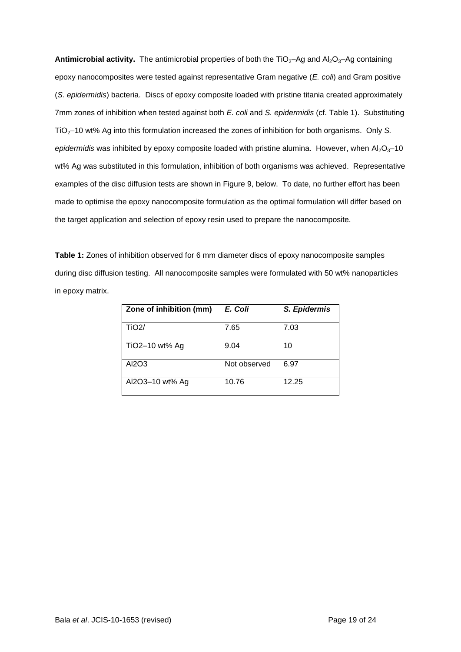**Antimicrobial activity.** The antimicrobial properties of both the  $TiO<sub>2</sub>-Ag$  and  $Al<sub>2</sub>O<sub>3</sub>-Ag$  containing epoxy nanocomposites were tested against representative Gram negative (*E. coli*) and Gram positive (*S. epidermidis*) bacteria. Discs of epoxy composite loaded with pristine titania created approximately 7mm zones of inhibition when tested against both *E. coli* and *S. epidermidis* (cf. Table 1). Substituting TiO<sub>2</sub>–10 wt% Ag into this formulation increased the zones of inhibition for both organisms. Only *S. epidermidis* was inhibited by epoxy composite loaded with pristine alumina. However, when Al<sub>2</sub>O<sub>3</sub>-10 wt% Ag was substituted in this formulation, inhibition of both organisms was achieved. Representative examples of the disc diffusion tests are shown in Figure 9, below. To date, no further effort has been made to optimise the epoxy nanocomposite formulation as the optimal formulation will differ based on the target application and selection of epoxy resin used to prepare the nanocomposite.

**Table 1:** Zones of inhibition observed for 6 mm diameter discs of epoxy nanocomposite samples during disc diffusion testing. All nanocomposite samples were formulated with 50 wt% nanoparticles in epoxy matrix.

| Zone of inhibition (mm) | E. Coli      | S. Epidermis |
|-------------------------|--------------|--------------|
| TiO <sub>2</sub> /      | 7.65         | 7.03         |
| TiO2-10 wt% Ag          | 9.04         | 10           |
| AI2O3                   | Not observed | 6.97         |
| Al2O3-10 wt% Ag         | 10.76        | 12.25        |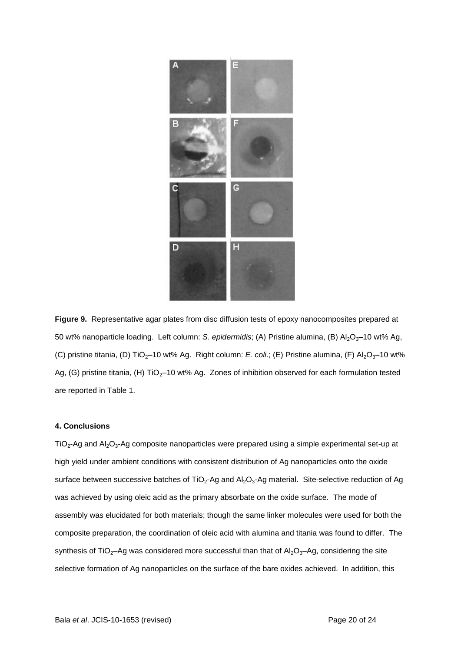

**Figure 9.** Representative agar plates from disc diffusion tests of epoxy nanocomposites prepared at 50 wt% nanoparticle loading. Left column: *S. epidermidis*; (A) Pristine alumina, (B) Al<sub>2</sub>O<sub>3</sub>-10 wt% Ag, (C) pristine titania, (D) TiO<sub>2</sub>-10 wt% Ag. Right column: *E. coli.*; (E) Pristine alumina, (F) Al<sub>2</sub>O<sub>3</sub>-10 wt% Ag, (G) pristine titania, (H)  $TiO<sub>2</sub>-10$  wt% Ag. Zones of inhibition observed for each formulation tested are reported in Table 1.

#### **4. Conclusions**

 $TiO<sub>2</sub>$ -Ag and Al<sub>2</sub>O<sub>3</sub>-Ag composite nanoparticles were prepared using a simple experimental set-up at high yield under ambient conditions with consistent distribution of Ag nanoparticles onto the oxide surface between successive batches of TiO<sub>2</sub>-Ag and Al<sub>2</sub>O<sub>3</sub>-Ag material. Site-selective reduction of Ag was achieved by using oleic acid as the primary absorbate on the oxide surface. The mode of assembly was elucidated for both materials; though the same linker molecules were used for both the composite preparation, the coordination of oleic acid with alumina and titania was found to differ. The synthesis of TiO<sub>2</sub>-Ag was considered more successful than that of  $Al_2O_3$ -Ag, considering the site selective formation of Ag nanoparticles on the surface of the bare oxides achieved. In addition, this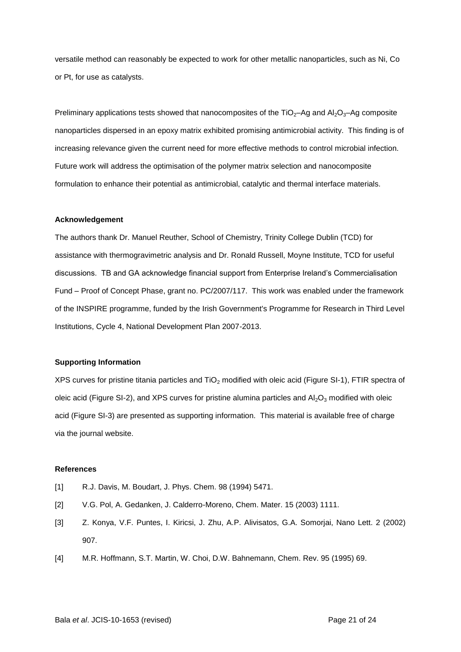versatile method can reasonably be expected to work for other metallic nanoparticles, such as Ni, Co or Pt, for use as catalysts.

Preliminary applications tests showed that nanocomposites of the  $TiO<sub>2</sub>–Ag$  and  $Al<sub>2</sub>O<sub>3</sub>–Ag$  composite nanoparticles dispersed in an epoxy matrix exhibited promising antimicrobial activity. This finding is of increasing relevance given the current need for more effective methods to control microbial infection. Future work will address the optimisation of the polymer matrix selection and nanocomposite formulation to enhance their potential as antimicrobial, catalytic and thermal interface materials.

## **Acknowledgement**

The authors thank Dr. Manuel Reuther, School of Chemistry, Trinity College Dublin (TCD) for assistance with thermogravimetric analysis and Dr. Ronald Russell, Moyne Institute, TCD for useful discussions. TB and GA acknowledge financial support from Enterprise Ireland's Commercialisation Fund – Proof of Concept Phase, grant no. PC/2007/117. This work was enabled under the framework of the INSPIRE programme, funded by the Irish Government's Programme for Research in Third Level Institutions, Cycle 4, National Development Plan 2007-2013.

#### **Supporting Information**

XPS curves for pristine titania particles and  $TiO<sub>2</sub>$  modified with oleic acid (Figure SI-1), FTIR spectra of oleic acid (Figure SI-2), and XPS curves for pristine alumina particles and  $Al_2O_3$  modified with oleic acid (Figure SI-3) are presented as supporting information. This material is available free of charge via the journal website.

#### **References**

- [1] R.J. Davis, M. Boudart, J. Phys. Chem. 98 (1994) 5471.
- [2] V.G. Pol, A. Gedanken, J. Calderro-Moreno, Chem. Mater. 15 (2003) 1111.
- [3] Z. Konya, V.F. Puntes, I. Kiricsi, J. Zhu, A.P. Alivisatos, G.A. Somorjai, Nano Lett. 2 (2002) 907.
- [4] M.R. Hoffmann, S.T. Martin, W. Choi, D.W. Bahnemann, Chem. Rev. 95 (1995) 69.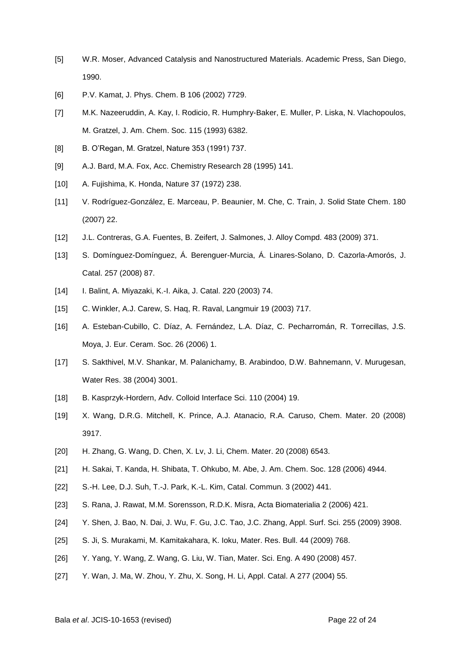- [5] W.R. Moser, Advanced Catalysis and Nanostructured Materials. Academic Press, San Diego, 1990.
- [6] P.V. Kamat, J. Phys. Chem. B 106 (2002) 7729.
- [7] M.K. Nazeeruddin, A. Kay, I. Rodicio, R. Humphry-Baker, E. Muller, P. Liska, N. Vlachopoulos, M. Gratzel, J. Am. Chem. Soc. 115 (1993) 6382.
- [8] B. O'Regan, M. Gratzel, Nature 353 (1991) 737.
- [9] A.J. Bard, M.A. Fox, Acc. Chemistry Research 28 (1995) 141.
- [10] A. Fujishima, K. Honda, Nature 37 (1972) 238.
- [11] V. Rodríguez-González, E. Marceau, P. Beaunier, M. Che, C. Train, J. Solid State Chem. 180 (2007) 22.
- [12] J.L. Contreras, G.A. Fuentes, B. Zeifert, J. Salmones, J. Alloy Compd. 483 (2009) 371.
- [13] S. Domínguez-Domínguez, Á. Berenguer-Murcia, Á. Linares-Solano, D. Cazorla-Amorós, J. Catal. 257 (2008) 87.
- [14] I. Balint, A. Miyazaki, K.-I. Aika, J. Catal. 220 (2003) 74.
- [15] C. Winkler, A.J. Carew, S. Haq, R. Raval, Langmuir 19 (2003) 717.
- [16] A. Esteban-Cubillo, C. Díaz, A. Fernández, L.A. Díaz, C. Pecharromán, R. Torrecillas, J.S. Moya, J. Eur. Ceram. Soc. 26 (2006) 1.
- [17] S. Sakthivel, M.V. Shankar, M. Palanichamy, B. Arabindoo, D.W. Bahnemann, V. Murugesan, Water Res. 38 (2004) 3001.
- [18] B. Kasprzyk-Hordern, Adv. Colloid Interface Sci. 110 (2004) 19.
- [19] X. Wang, D.R.G. Mitchell, K. Prince, A.J. Atanacio, R.A. Caruso, Chem. Mater. 20 (2008) 3917.
- [20] H. Zhang, G. Wang, D. Chen, X. Lv, J. Li, Chem. Mater. 20 (2008) 6543.
- [21] H. Sakai, T. Kanda, H. Shibata, T. Ohkubo, M. Abe, J. Am. Chem. Soc. 128 (2006) 4944.
- [22] S.-H. Lee, D.J. Suh, T.-J. Park, K.-L. Kim, Catal. Commun. 3 (2002) 441.
- [23] S. Rana, J. Rawat, M.M. Sorensson, R.D.K. Misra, Acta Biomaterialia 2 (2006) 421.
- [24] Y. Shen, J. Bao, N. Dai, J. Wu, F. Gu, J.C. Tao, J.C. Zhang, Appl. Surf. Sci. 255 (2009) 3908.
- [25] S. Ji, S. Murakami, M. Kamitakahara, K. Ioku, Mater. Res. Bull. 44 (2009) 768.
- [26] Y. Yang, Y. Wang, Z. Wang, G. Liu, W. Tian, Mater. Sci. Eng. A 490 (2008) 457.
- [27] Y. Wan, J. Ma, W. Zhou, Y. Zhu, X. Song, H. Li, Appl. Catal. A 277 (2004) 55.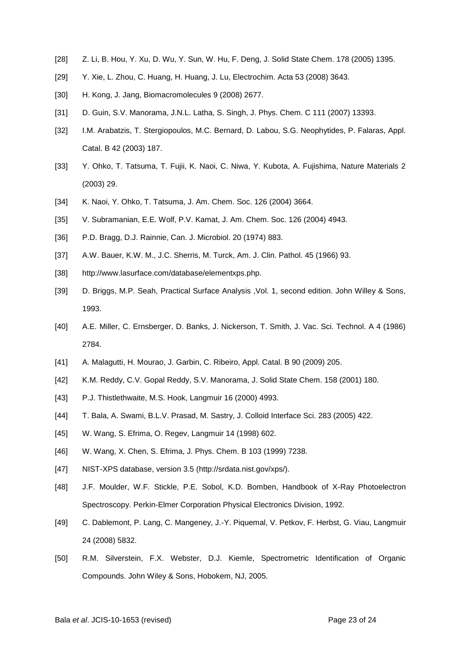- [28] Z. Li, B. Hou, Y. Xu, D. Wu, Y. Sun, W. Hu, F. Deng, J. Solid State Chem. 178 (2005) 1395.
- [29] Y. Xie, L. Zhou, C. Huang, H. Huang, J. Lu, Electrochim. Acta 53 (2008) 3643.
- [30] H. Kong, J. Jang, Biomacromolecules 9 (2008) 2677.
- [31] D. Guin, S.V. Manorama, J.N.L. Latha, S. Singh, J. Phys. Chem. C 111 (2007) 13393.
- [32] I.M. Arabatzis, T. Stergiopoulos, M.C. Bernard, D. Labou, S.G. Neophytides, P. Falaras, Appl. Catal. B 42 (2003) 187.
- [33] Y. Ohko, T. Tatsuma, T. Fujii, K. Naoi, C. Niwa, Y. Kubota, A. Fujishima, Nature Materials 2 (2003) 29.
- [34] K. Naoi, Y. Ohko, T. Tatsuma, J. Am. Chem. Soc. 126 (2004) 3664.
- [35] V. Subramanian, E.E. Wolf, P.V. Kamat, J. Am. Chem. Soc. 126 (2004) 4943.
- [36] P.D. Bragg, D.J. Rainnie, Can. J. Microbiol. 20 (1974) 883.
- [37] A.W. Bauer, K.W. M., J.C. Sherris, M. Turck, Am. J. Clin. Pathol. 45 (1966) 93.
- [38] http://www.lasurface.com/database/elementxps.php.
- [39] D. Briggs, M.P. Seah, Practical Surface Analysis ,Vol. 1, second edition. John Willey & Sons, 1993.
- [40] A.E. Miller, C. Ernsberger, D. Banks, J. Nickerson, T. Smith, J. Vac. Sci. Technol. A 4 (1986) 2784.
- [41] A. Malagutti, H. Mourao, J. Garbin, C. Ribeiro, Appl. Catal, B 90 (2009) 205.
- [42] K.M. Reddy, C.V. Gopal Reddy, S.V. Manorama, J. Solid State Chem. 158 (2001) 180.
- [43] P.J. Thistlethwaite, M.S. Hook, Langmuir 16 (2000) 4993.
- [44] T. Bala, A. Swami, B.L.V. Prasad, M. Sastry, J. Colloid Interface Sci. 283 (2005) 422.
- [45] W. Wang, S. Efrima, O. Regev, Langmuir 14 (1998) 602.
- [46] W. Wang, X. Chen, S. Efrima, J. Phys. Chem. B 103 (1999) 7238.
- [47] NIST-XPS database, version 3.5 (http://srdata.nist.gov/xps/).
- [48] J.F. Moulder, W.F. Stickle, P.E. Sobol, K.D. Bomben, Handbook of X-Ray Photoelectron Spectroscopy. Perkin-Elmer Corporation Physical Electronics Division, 1992.
- [49] C. Dablemont, P. Lang, C. Mangeney, J.-Y. Piquemal, V. Petkov, F. Herbst, G. Viau, Langmuir 24 (2008) 5832.
- [50] R.M. Silverstein, F.X. Webster, D.J. Kiemle, Spectrometric Identification of Organic Compounds. John Wiley & Sons, Hobokem, NJ, 2005.